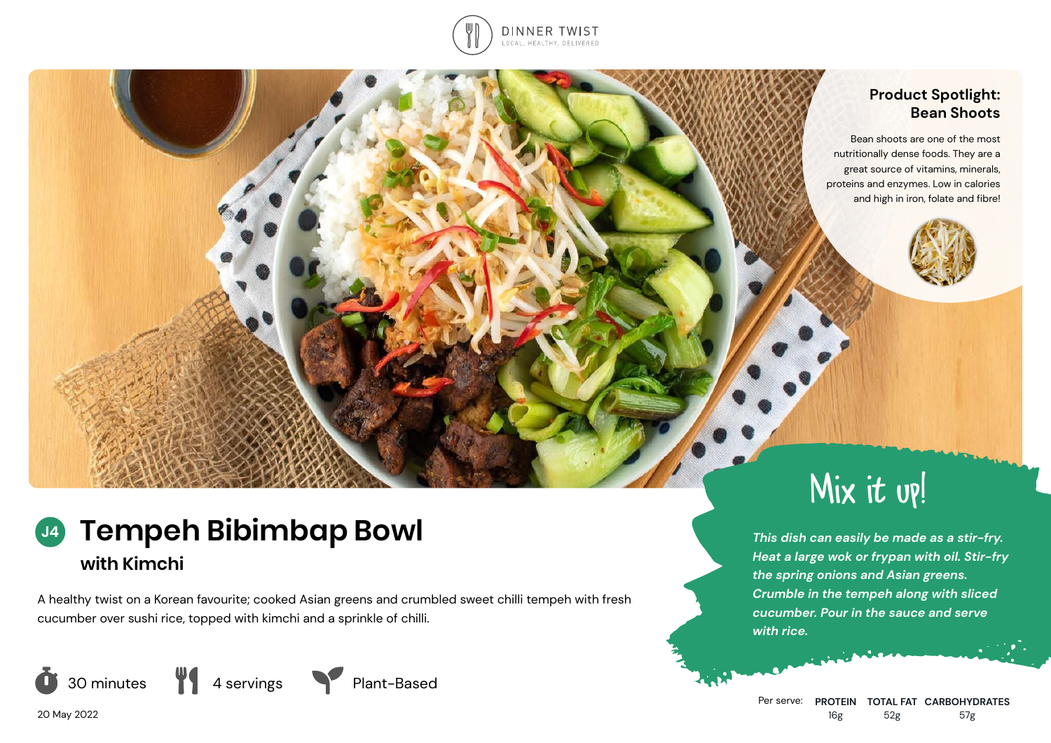

## **Product Spotlight: Bean Shoots**

Bean shoots are one of the most nutritionally dense foods. They are a great source of vitamins, minerals, proteins and enzymes. Low in calories and high in iron, folate and fibre!



## **Tempeh Bibimbap Bowl with Kimchi J4**

A healthy twist on a Korean favourite; cooked Asian greens and crumbled sweet chilli tempeh with fresh cucumber over sushi rice, topped with kimchi and a sprinkle of chilli.







*This dish can easily be made as a stir-fry. Heat a large wok or frypan with oil. Stir-fry the spring onions and Asian greens. Crumble in the tempeh along with sliced cucumber. Pour in the sauce and serve with rice.*